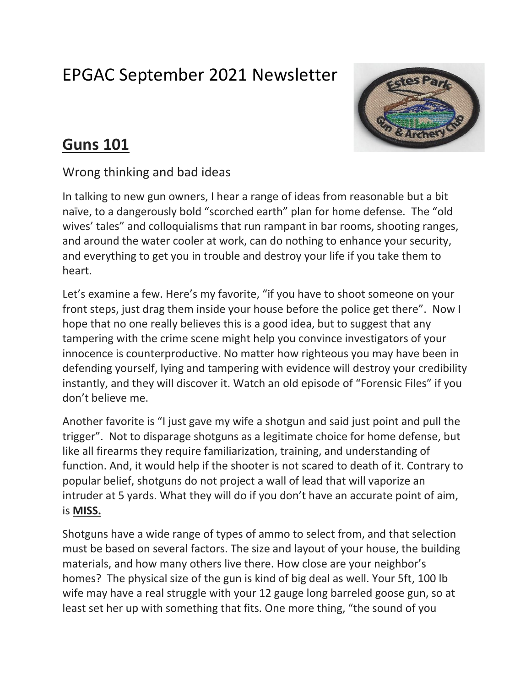## EPGAC September 2021 Newsletter



## **Guns 101**

Wrong thinking and bad ideas

In talking to new gun owners, I hear a range of ideas from reasonable but a bit naïve, to a dangerously bold "scorched earth" plan for home defense. The "old wives' tales" and colloquialisms that run rampant in bar rooms, shooting ranges, and around the water cooler at work, can do nothing to enhance your security, and everything to get you in trouble and destroy your life if you take them to heart.

Let's examine a few. Here's my favorite, "if you have to shoot someone on your front steps, just drag them inside your house before the police get there". Now I hope that no one really believes this is a good idea, but to suggest that any tampering with the crime scene might help you convince investigators of your innocence is counterproductive. No matter how righteous you may have been in defending yourself, lying and tampering with evidence will destroy your credibility instantly, and they will discover it. Watch an old episode of "Forensic Files" if you don't believe me.

Another favorite is "I just gave my wife a shotgun and said just point and pull the trigger". Not to disparage shotguns as a legitimate choice for home defense, but like all firearms they require familiarization, training, and understanding of function. And, it would help if the shooter is not scared to death of it. Contrary to popular belief, shotguns do not project a wall of lead that will vaporize an intruder at 5 yards. What they will do if you don't have an accurate point of aim, is **MISS.**

Shotguns have a wide range of types of ammo to select from, and that selection must be based on several factors. The size and layout of your house, the building materials, and how many others live there. How close are your neighbor's homes? The physical size of the gun is kind of big deal as well. Your 5ft, 100 lb wife may have a real struggle with your 12 gauge long barreled goose gun, so at least set her up with something that fits. One more thing, "the sound of you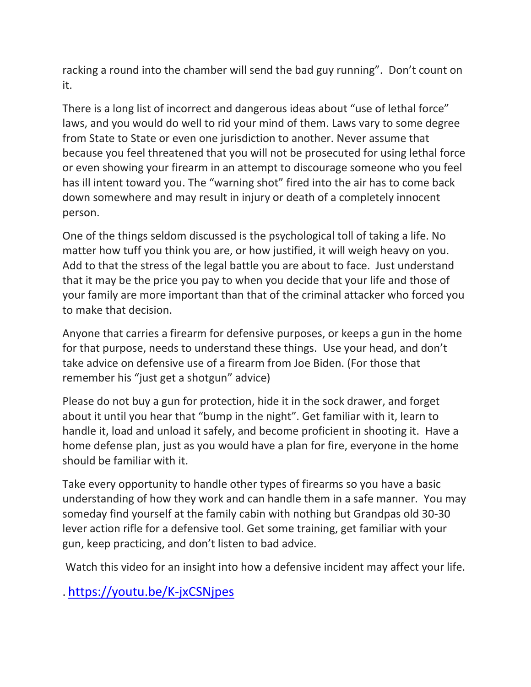racking a round into the chamber will send the bad guy running". Don't count on it.

There is a long list of incorrect and dangerous ideas about "use of lethal force" laws, and you would do well to rid your mind of them. Laws vary to some degree from State to State or even one jurisdiction to another. Never assume that because you feel threatened that you will not be prosecuted for using lethal force or even showing your firearm in an attempt to discourage someone who you feel has ill intent toward you. The "warning shot" fired into the air has to come back down somewhere and may result in injury or death of a completely innocent person.

One of the things seldom discussed is the psychological toll of taking a life. No matter how tuff you think you are, or how justified, it will weigh heavy on you. Add to that the stress of the legal battle you are about to face. Just understand that it may be the price you pay to when you decide that your life and those of your family are more important than that of the criminal attacker who forced you to make that decision.

Anyone that carries a firearm for defensive purposes, or keeps a gun in the home for that purpose, needs to understand these things. Use your head, and don't take advice on defensive use of a firearm from Joe Biden. (For those that remember his "just get a shotgun" advice)

Please do not buy a gun for protection, hide it in the sock drawer, and forget about it until you hear that "bump in the night". Get familiar with it, learn to handle it, load and unload it safely, and become proficient in shooting it. Have a home defense plan, just as you would have a plan for fire, everyone in the home should be familiar with it.

Take every opportunity to handle other types of firearms so you have a basic understanding of how they work and can handle them in a safe manner. You may someday find yourself at the family cabin with nothing but Grandpas old 30-30 lever action rifle for a defensive tool. Get some training, get familiar with your gun, keep practicing, and don't listen to bad advice.

Watch this video for an insight into how a defensive incident may affect your life.

. <https://youtu.be/K-jxCSNjpes>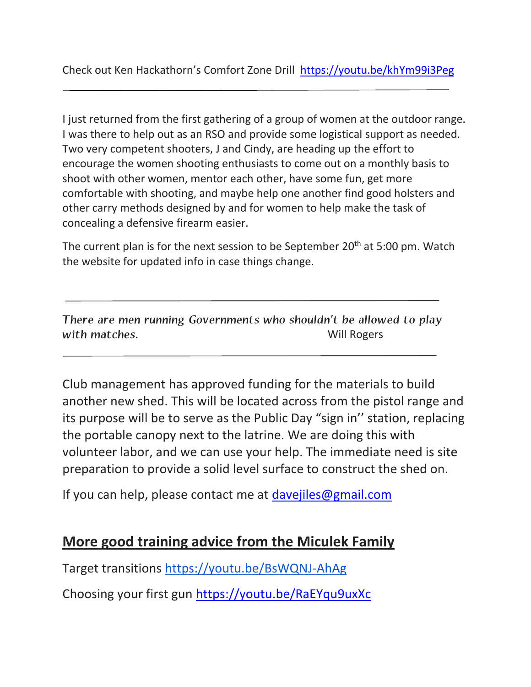I just returned from the first gathering of a group of women at the outdoor range. I was there to help out as an RSO and provide some logistical support as needed. Two very competent shooters, J and Cindy, are heading up the effort to encourage the women shooting enthusiasts to come out on a monthly basis to shoot with other women, mentor each other, have some fun, get more comfortable with shooting, and maybe help one another find good holsters and other carry methods designed by and for women to help make the task of concealing a defensive firearm easier.

The current plan is for the next session to be September  $20<sup>th</sup>$  at 5:00 pm. Watch the website for updated info in case things change.

There are men running Governments who shouldn't be allowed to play with matches. The contraction of the contraction of the contraction of the contraction of the contraction of the contraction of the contraction of the contraction of the contraction of the contraction of the contraction of

Club management has approved funding for the materials to build another new shed. This will be located across from the pistol range and its purpose will be to serve as the Public Day "sign in'' station, replacing the portable canopy next to the latrine. We are doing this with volunteer labor, and we can use your help. The immediate need is site preparation to provide a solid level surface to construct the shed on.

If you can help, please contact me at [davejiles@gmail.com](mailto:davejiles@gmail.com)

## **More good training advice from the Miculek Family**

Target transitions <https://youtu.be/BsWQNJ-AhAg>

Choosing your first gun <https://youtu.be/RaEYqu9uxXc>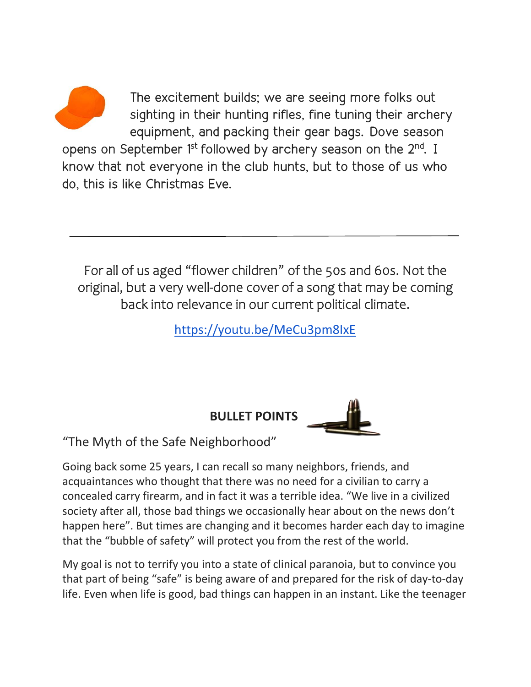The excitement builds; we are seeing more folks out sighting in their hunting rifles, fine tuning their archery equipment, and packing their gear bags. Dove season

opens on September 1<sup>st</sup> followed by archery season on the 2<sup>nd</sup>. I know that not everyone in the club hunts, but to those of us who do, this is like Christmas Eve.

For all of us aged "flower children" of the 50s and 60s. Not the original, but a very well-done cover of a song that may be coming back into relevance in our current political climate.

<https://youtu.be/MeCu3pm8IxE>

**BULLET POINTS**



"The Myth of the Safe Neighborhood"

Going back some 25 years, I can recall so many neighbors, f[riend](https://creativecommons.org/licenses/by-nc-sa/3.0/)s, and acquaintances who thought that there was no ne[ed for a](https://creativecommons.org/licenses/by-nc-sa/3.0/) civilian to carry a concealed carry firearm, and in fact it was a terrible idea. "We live in a civilized society after all, those bad things we occasionally hear about on the news don't happen here". But times are changing and it becomes harder each day to imagine that the "bubble of safety" will protect you from the rest of the world.

My goal is not to terrify you into a state of clinical paranoia, but to convince you that part of being "safe" is being aware of and prepared for the risk of day-to-day life. Even when life is good, bad things can happen in an instant. Like the teenager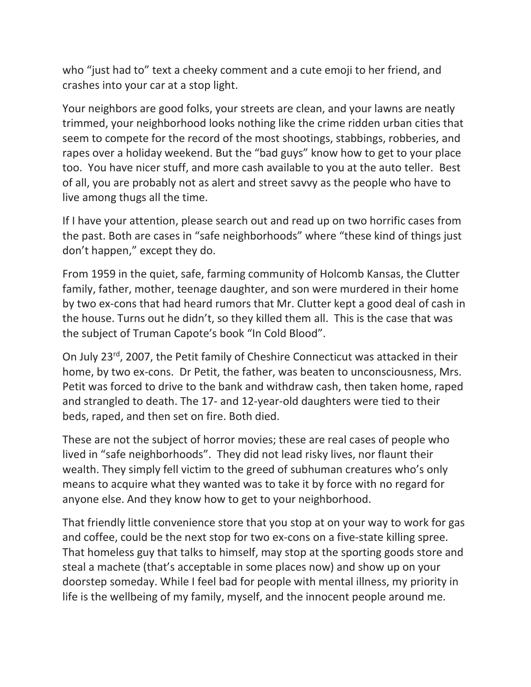who "just had to" text a cheeky comment and a cute emoji to her friend, and crashes into your car at a stop light.

Your neighbors are good folks, your streets are clean, and your lawns are neatly trimmed, your neighborhood looks nothing like the crime ridden urban cities that seem to compete for the record of the most shootings, stabbings, robberies, and rapes over a holiday weekend. But the "bad guys" know how to get to your place too. You have nicer stuff, and more cash available to you at the auto teller. Best of all, you are probably not as alert and street savvy as the people who have to live among thugs all the time.

If I have your attention, please search out and read up on two horrific cases from the past. Both are cases in "safe neighborhoods" where "these kind of things just don't happen," except they do.

From 1959 in the quiet, safe, farming community of Holcomb Kansas, the Clutter family, father, mother, teenage daughter, and son were murdered in their home by two ex-cons that had heard rumors that Mr. Clutter kept a good deal of cash in the house. Turns out he didn't, so they killed them all. This is the case that was the subject of Truman Capote's book "In Cold Blood".

On July 23rd, 2007, the Petit family of Cheshire Connecticut was attacked in their home, by two ex-cons. Dr Petit, the father, was beaten to unconsciousness, Mrs. Petit was forced to drive to the bank and withdraw cash, then taken home, raped and strangled to death. The 17- and 12-year-old daughters were tied to their beds, raped, and then set on fire. Both died.

These are not the subject of horror movies; these are real cases of people who lived in "safe neighborhoods". They did not lead risky lives, nor flaunt their wealth. They simply fell victim to the greed of subhuman creatures who's only means to acquire what they wanted was to take it by force with no regard for anyone else. And they know how to get to your neighborhood.

That friendly little convenience store that you stop at on your way to work for gas and coffee, could be the next stop for two ex-cons on a five-state killing spree. That homeless guy that talks to himself, may stop at the sporting goods store and steal a machete (that's acceptable in some places now) and show up on your doorstep someday. While I feel bad for people with mental illness, my priority in life is the wellbeing of my family, myself, and the innocent people around me.